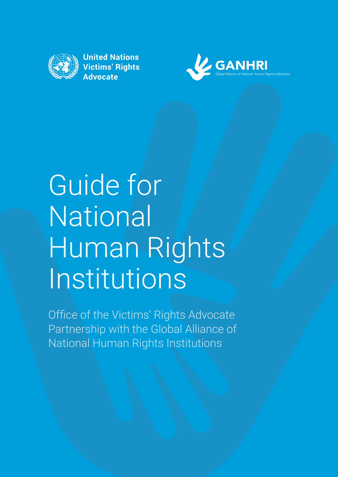

**United Nations Victims' Rights Advocate** 



# Guide for **National** Human Rights Institutions

Office of the Victims' Rights Advocate Partnership with the Global Alliance of National Human Rights Institutions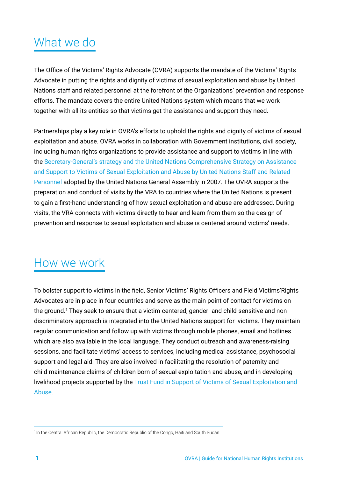# What we do

The Office of the Victims' Rights Advocate (OVRA) supports the mandate of the Victims' Rights Advocate in putting the rights and dignity of victims of sexual exploitation and abuse by United Nations staff and related personnel at the forefront of the Organizations' prevention and response efforts. The mandate covers the entire United Nations system which means that we work together with all its entities so that victims get the assistance and support they need.

Partnerships play a key role in OVRA's efforts to uphold the rights and dignity of victims of sexual exploitation and abuse. OVRA works in collaboration with Government institutions, civil society, including human rights organizations to provide assistance and support to victims in line with the [Secretary-General's strategy and the United Nations Comprehensive Strategy on Assistance](https://undocs.org/A/RES/62/214)  [and Support to Victims of Sexual Exploitation and Abuse by United Nations Staff and Related](https://undocs.org/A/RES/62/214)  [Personnel](https://undocs.org/A/RES/62/214) adopted by the United Nations General Assembly in 2007. The OVRA supports the preparation and conduct of visits by the VRA to countries where the United Nations is present to gain a first-hand understanding of how sexual exploitation and abuse are addressed. During visits, the VRA connects with victims directly to hear and learn from them so the design of prevention and response to sexual exploitation and abuse is centered around victims' needs.

## How we work

To bolster support to victims in the field, Senior Victims' Rights Officers and Field Victims'Rights Advocates are in place in four countries and serve as the main point of contact for victims on the ground.<sup>1</sup> They seek to ensure that a victim-centered, gender- and child-sensitive and nondiscriminatory approach is integrated into the United Nations support for victims. They maintain regular communication and follow up with victims through mobile phones, email and hotlines which are also available in the local language. They conduct outreach and awareness-raising sessions, and facilitate victims' access to services, including medical assistance, psychosocial support and legal aid. They are also involved in facilitating the resolution of paternity and child maintenance claims of children born of sexual exploitation and abuse, and in developing livelihood projects supported by the [Trust Fund in Support of Victims of Sexual Exploitation and](https://www.un.org/preventing-sexual-exploitation-and-abuse/content/trust-fund)  [Abuse.](https://www.un.org/preventing-sexual-exploitation-and-abuse/content/trust-fund) 

<sup>&</sup>lt;sup>1</sup> In the Central African Republic, the Democratic Republic of the Congo, Haiti and South Sudan.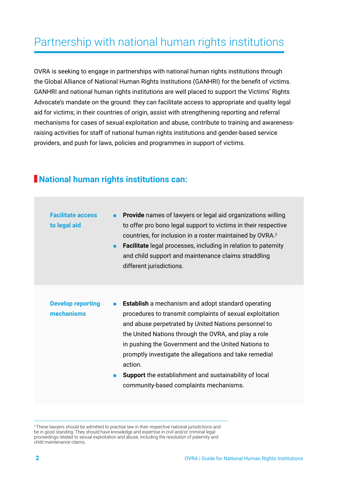## Partnership with national human rights institutions

OVRA is seeking to engage in partnerships with national human rights institutions through the Global Alliance of National Human Rights Institutions (GANHRI) for the benefit of victims. GANHRI and national human rights institutions are well placed to support the Victims' Rights Advocate's mandate on the ground: they can facilitate access to appropriate and quality legal aid for victims; in their countries of origin, assist with strengthening reporting and referral mechanisms for cases of sexual exploitation and abuse, contribute to training and awarenessraising activities for staff of national human rights institutions and gender-based service providers, and push for laws, policies and programmes in support of victims.

### **National human rights institutions can:**

| <b>Facilitate access</b><br>to legal aid | <b>Provide</b> names of lawyers or legal aid organizations willing<br>to offer pro bono legal support to victims in their respective<br>countries, for inclusion in a roster maintained by OVRA. <sup>2</sup><br><b>Facilitate</b> legal processes, including in relation to paternity<br>and child support and maintenance claims straddling<br>different jurisdictions.                                                                                                                |  |
|------------------------------------------|------------------------------------------------------------------------------------------------------------------------------------------------------------------------------------------------------------------------------------------------------------------------------------------------------------------------------------------------------------------------------------------------------------------------------------------------------------------------------------------|--|
| <b>Develop reporting</b><br>mechanisms   | <b>Establish</b> a mechanism and adopt standard operating<br>$\bullet$<br>procedures to transmit complaints of sexual exploitation<br>and abuse perpetrated by United Nations personnel to<br>the United Nations through the OVRA, and play a role<br>in pushing the Government and the United Nations to<br>promptly investigate the allegations and take remedial<br>action.<br><b>Support</b> the establishment and sustainability of local<br>community-based complaints mechanisms. |  |

<sup>&</sup>lt;sup>2</sup>These lawyers should be admitted to practise law in their respective national jurisdictions and be in good standing. They should have knowledge and expertise in civil and/or criminal legal proceedings related to sexual exploitation and abuse, including the resolution of paternity and child maintenance claims.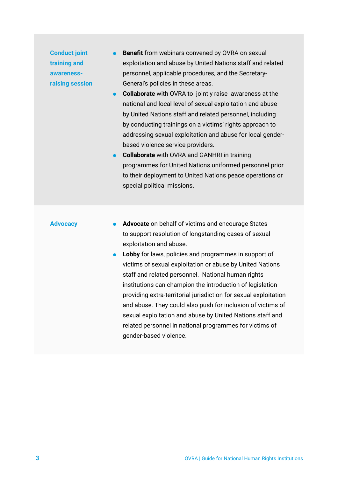**Conduct joint training and awarenessraising session**

- ⚫ **Benefit** from webinars convened by OVRA on sexual exploitation and abuse by United Nations staff and related personnel, applicable procedures, and the Secretary-General's policies in these areas.
- ⚫ **Collaborate** with OVRA to jointly raise awareness at the national and local level of sexual exploitation and abuse by United Nations staff and related personnel, including by conducting trainings on a victims' rights approach to addressing sexual exploitation and abuse for local genderbased violence service providers.
- ⚫ **Collaborate** with OVRA and GANHRI in training programmes for United Nations uniformed personnel prior to their deployment to United Nations peace operations or special political missions.

#### **Advocacy**

- ⚫ **Advocate** on behalf of victims and encourage States to support resolution of longstanding cases of sexual exploitation and abuse.
- ⚫ **Lobby** for laws, policies and programmes in support of victims of sexual exploitation or abuse by United Nations staff and related personnel. National human rights institutions can champion the introduction of legislation providing extra-territorial jurisdiction for sexual exploitation and abuse. They could also push for inclusion of victims of sexual exploitation and abuse by United Nations staff and related personnel in national programmes for victims of gender-based violence.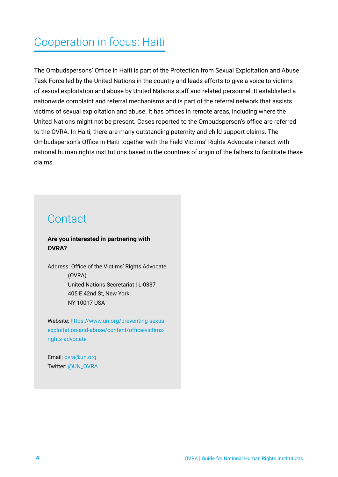## Cooperation in focus: Haiti

The Ombudspersons' Office in Haiti is part of the Protection from Sexual Exploitation and Abuse Task Force led by the United Nations in the country and leads efforts to give a voice to victims of sexual exploitation and abuse by United Nations staff and related personnel. It established a nationwide complaint and referral mechanisms and is part of the referral network that assists victims of sexual exploitation and abuse. It has offices in remote areas, including where the United Nations might not be present. Cases reported to the Ombudsperson's office are referred to the OVRA. In Haiti, there are many outstanding paternity and child support claims. The Ombudsperson's Office in Haiti together with the Field Victims' Rights Advocate interact with national human rights institutions based in the countries of origin of the fathers to facilitate these claims.

## **Contact**

#### **Are you interested in partnering with OVRA?**

Address: Office of the Victims' Rights Advocate (OVRA) United Nations Secretariat | L-0337 405 E 42nd St, New York NY 10017 USA

Website: [https://www.un.org/preventing-sexual](https://www.un.org/preventing-sexual-exploitation-and-abuse/content/office-victims-rights-advocate)[exploitation-and-abuse/content/office-victims](https://www.un.org/preventing-sexual-exploitation-and-abuse/content/office-victims-rights-advocate)[rights-advocat](https://www.un.org/preventing-sexual-exploitation-and-abuse/content/office-victims-rights-advocate)e

Email: [ovra@un.org](mailto:ovra%40un.org?subject=) Twitter: [@UN\\_OVRA](http://twitter.com/UN_OVRA)